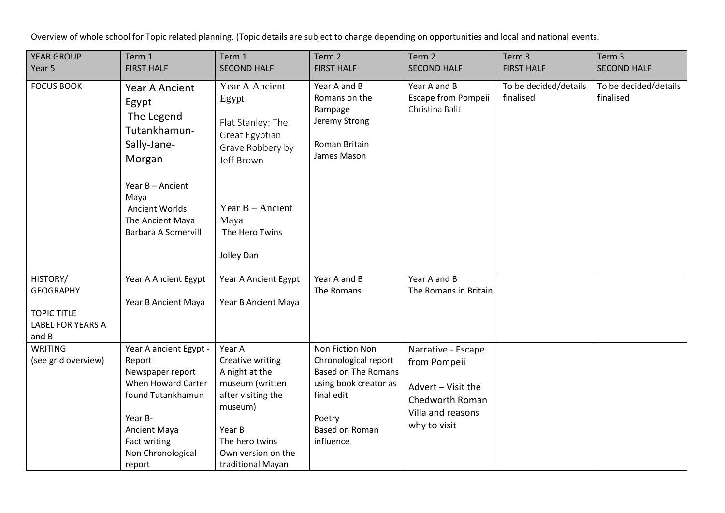Overview of whole school for Topic related planning. (Topic details are subject to change depending on opportunities and local and national events.

| <b>YEAR GROUP</b><br>Year 5                                                      | Term 1<br><b>FIRST HALF</b>                                                                                                                                               | Term 1<br><b>SECOND HALF</b>                                                                                                                                            | Term 2<br><b>FIRST HALF</b>                                                                                                                           | Term 2<br><b>SECOND HALF</b>                                                                                     | Term 3<br><b>FIRST HALF</b>        | Term 3<br><b>SECOND HALF</b>       |
|----------------------------------------------------------------------------------|---------------------------------------------------------------------------------------------------------------------------------------------------------------------------|-------------------------------------------------------------------------------------------------------------------------------------------------------------------------|-------------------------------------------------------------------------------------------------------------------------------------------------------|------------------------------------------------------------------------------------------------------------------|------------------------------------|------------------------------------|
|                                                                                  |                                                                                                                                                                           |                                                                                                                                                                         |                                                                                                                                                       |                                                                                                                  |                                    |                                    |
| <b>FOCUS BOOK</b>                                                                | Year A Ancient<br>Egypt<br>The Legend-<br>Tutankhamun-<br>Sally-Jane-<br>Morgan                                                                                           | Year A Ancient<br>Egypt<br>Flat Stanley: The<br>Great Egyptian<br>Grave Robbery by<br>Jeff Brown                                                                        | Year A and B<br>Romans on the<br>Rampage<br>Jeremy Strong<br>Roman Britain<br>James Mason                                                             | Year A and B<br>Escape from Pompeii<br>Christina Balit                                                           | To be decided/details<br>finalised | To be decided/details<br>finalised |
|                                                                                  | Year B - Ancient<br>Maya<br>Ancient Worlds<br>The Ancient Maya<br><b>Barbara A Somervill</b>                                                                              | Year $B -$ Ancient<br>Maya<br>The Hero Twins<br>Jolley Dan                                                                                                              |                                                                                                                                                       |                                                                                                                  |                                    |                                    |
| HISTORY/<br><b>GEOGRAPHY</b><br><b>TOPIC TITLE</b><br>LABEL FOR YEARS A<br>and B | Year A Ancient Egypt<br>Year B Ancient Maya                                                                                                                               | Year A Ancient Egypt<br>Year B Ancient Maya                                                                                                                             | Year A and B<br>The Romans                                                                                                                            | Year A and B<br>The Romans in Britain                                                                            |                                    |                                    |
| <b>WRITING</b><br>(see grid overview)                                            | Year A ancient Egypt -<br>Report<br>Newspaper report<br>When Howard Carter<br>found Tutankhamun<br>Year B-<br>Ancient Maya<br>Fact writing<br>Non Chronological<br>report | Year A<br>Creative writing<br>A night at the<br>museum (written<br>after visiting the<br>museum)<br>Year B<br>The hero twins<br>Own version on the<br>traditional Mayan | Non Fiction Non<br>Chronological report<br><b>Based on The Romans</b><br>using book creator as<br>final edit<br>Poetry<br>Based on Roman<br>influence | Narrative - Escape<br>from Pompeii<br>Advert - Visit the<br>Chedworth Roman<br>Villa and reasons<br>why to visit |                                    |                                    |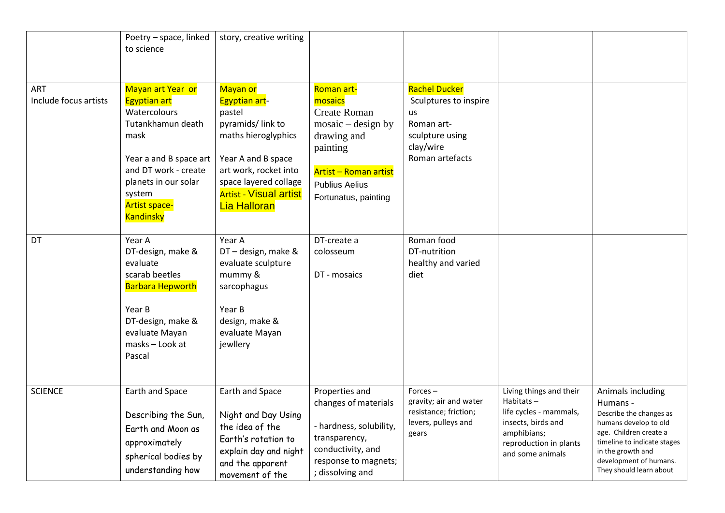|                              | Poetry - space, linked<br>to science                                                                                                                                                                                  | story, creative writing                                                                                                                                                                                        |                                                                                                                                                                                  |                                                                                                                      |                                                                                                                                                      |                                                                                                                                                                                                                      |
|------------------------------|-----------------------------------------------------------------------------------------------------------------------------------------------------------------------------------------------------------------------|----------------------------------------------------------------------------------------------------------------------------------------------------------------------------------------------------------------|----------------------------------------------------------------------------------------------------------------------------------------------------------------------------------|----------------------------------------------------------------------------------------------------------------------|------------------------------------------------------------------------------------------------------------------------------------------------------|----------------------------------------------------------------------------------------------------------------------------------------------------------------------------------------------------------------------|
| ART<br>Include focus artists | Mayan art Year or<br><b>Egyptian art</b><br>Watercolours<br>Tutankhamun death<br>mask<br>Year a and B space art<br>and DT work - create<br>planets in our solar<br>system<br><b>Artist space-</b><br><b>Kandinsky</b> | Mayan or<br>Egyptian art-<br>pastel<br>pyramids/link to<br>maths hieroglyphics<br>Year A and B space<br>art work, rocket into<br>space layered collage<br><b>Artist - Visual artist</b><br><b>Lia Halloran</b> | Roman art-<br>mosaics<br><b>Create Roman</b><br>$mosaic - design by$<br>drawing and<br>painting<br><b>Artist - Roman artist</b><br><b>Publius Aelius</b><br>Fortunatus, painting | <b>Rachel Ducker</b><br>Sculptures to inspire<br>us<br>Roman art-<br>sculpture using<br>clay/wire<br>Roman artefacts |                                                                                                                                                      |                                                                                                                                                                                                                      |
| DT                           | Year A<br>DT-design, make &<br>evaluate<br>scarab beetles<br><b>Barbara Hepworth</b><br>Year B<br>DT-design, make &<br>evaluate Mayan<br>masks – Look at<br>Pascal                                                    | Year A<br>DT-design, make &<br>evaluate sculpture<br>mummy &<br>sarcophagus<br>Year B<br>design, make &<br>evaluate Mayan<br>jewllery                                                                          | DT-create a<br>colosseum<br>DT - mosaics                                                                                                                                         | Roman food<br>DT-nutrition<br>healthy and varied<br>diet                                                             |                                                                                                                                                      |                                                                                                                                                                                                                      |
| <b>SCIENCE</b>               | Earth and Space<br>Describing the Sun,<br>Earth and Moon as<br>approximately<br>spherical bodies by<br>understanding how                                                                                              | Earth and Space<br>Night and Day Using<br>the idea of the<br>Earth's rotation to<br>explain day and night<br>and the apparent<br>movement of the                                                               | Properties and<br>changes of materials<br>- hardness, solubility,<br>transparency,<br>conductivity, and<br>response to magnets;<br>; dissolving and                              | Forces-<br>gravity; air and water<br>resistance; friction;<br>levers, pulleys and<br>gears                           | Living things and their<br>Habitats $-$<br>life cycles - mammals,<br>insects, birds and<br>amphibians;<br>reproduction in plants<br>and some animals | Animals including<br>Humans -<br>Describe the changes as<br>humans develop to old<br>age. Children create a<br>timeline to indicate stages<br>in the growth and<br>development of humans.<br>They should learn about |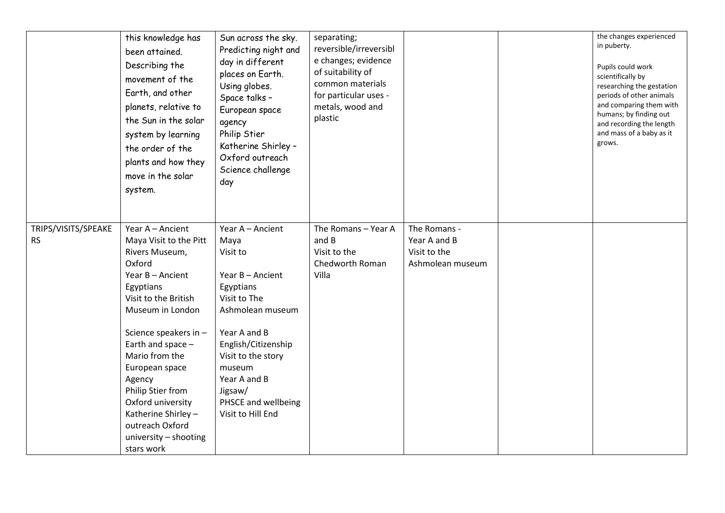|                                  | this knowledge has<br>been attained.<br>Describing the<br>movement of the<br>Earth, and other<br>planets, relative to<br>the Sun in the solar<br>system by learning<br>the order of the<br>plants and how they<br>move in the solar<br>system.                                                                                                                             | Sun across the sky.<br>Predicting night and<br>day in different<br>places on Earth.<br>Using globes.<br>Space talks -<br>European space<br>agency<br>Philip Stier<br>Katherine Shirley -<br>Oxford outreach<br>Science challenge<br>day                 | separating;<br>reversible/irreversibl<br>e changes; evidence<br>of suitability of<br>common materials<br>for particular uses -<br>metals, wood and<br>plastic |                                                                  | the changes experienced<br>in puberty.<br>Pupils could work<br>scientifically by<br>researching the gestation<br>periods of other animals<br>and comparing them with<br>humans; by finding out<br>and recording the length<br>and mass of a baby as it<br>grows. |
|----------------------------------|----------------------------------------------------------------------------------------------------------------------------------------------------------------------------------------------------------------------------------------------------------------------------------------------------------------------------------------------------------------------------|---------------------------------------------------------------------------------------------------------------------------------------------------------------------------------------------------------------------------------------------------------|---------------------------------------------------------------------------------------------------------------------------------------------------------------|------------------------------------------------------------------|------------------------------------------------------------------------------------------------------------------------------------------------------------------------------------------------------------------------------------------------------------------|
| TRIPS/VISITS/SPEAKE<br><b>RS</b> | Year A - Ancient<br>Maya Visit to the Pitt<br>Rivers Museum,<br>Oxford<br>Year B - Ancient<br>Egyptians<br>Visit to the British<br>Museum in London<br>Science speakers in -<br>Earth and space -<br>Mario from the<br>European space<br>Agency<br>Philip Stier from<br>Oxford university<br>Katherine Shirley -<br>outreach Oxford<br>university - shooting<br>stars work | Year A - Ancient<br>Maya<br>Visit to<br>Year B - Ancient<br>Egyptians<br>Visit to The<br>Ashmolean museum<br>Year A and B<br>English/Citizenship<br>Visit to the story<br>museum<br>Year A and B<br>Jigsaw/<br>PHSCE and wellbeing<br>Visit to Hill End | The Romans - Year A<br>and B<br>Visit to the<br>Chedworth Roman<br>Villa                                                                                      | The Romans -<br>Year A and B<br>Visit to the<br>Ashmolean museum |                                                                                                                                                                                                                                                                  |